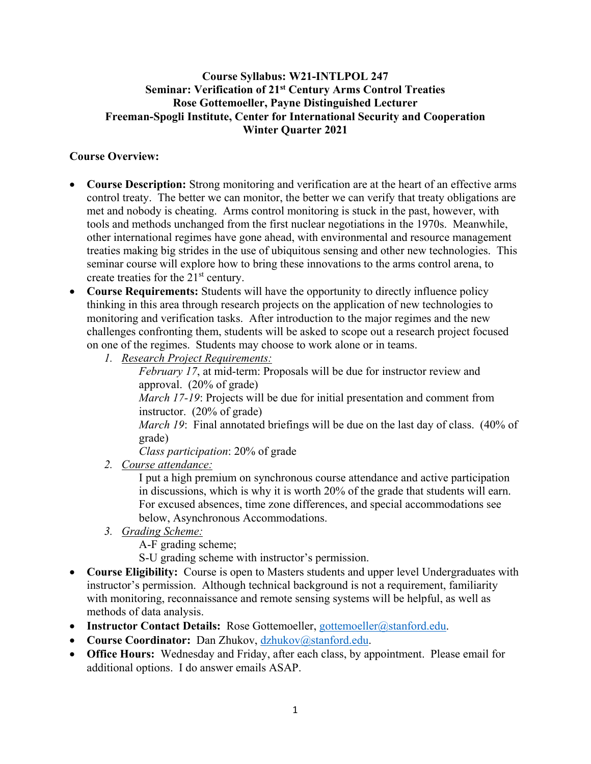### **Course Syllabus: W21-INTLPOL 247 Seminar: Verification of 21st Century Arms Control Treaties Rose Gottemoeller, Payne Distinguished Lecturer Freeman-Spogli Institute, Center for International Security and Cooperation Winter Quarter 2021**

## **Course Overview:**

- **Course Description:** Strong monitoring and verification are at the heart of an effective arms control treaty. The better we can monitor, the better we can verify that treaty obligations are met and nobody is cheating. Arms control monitoring is stuck in the past, however, with tools and methods unchanged from the first nuclear negotiations in the 1970s. Meanwhile, other international regimes have gone ahead, with environmental and resource management treaties making big strides in the use of ubiquitous sensing and other new technologies. This seminar course will explore how to bring these innovations to the arms control arena, to create treaties for the 21<sup>st</sup> century.
- **Course Requirements:** Students will have the opportunity to directly influence policy thinking in this area through research projects on the application of new technologies to monitoring and verification tasks. After introduction to the major regimes and the new challenges confronting them, students will be asked to scope out a research project focused on one of the regimes. Students may choose to work alone or in teams.
	- *1. Research Project Requirements:*

*February 17*, at mid-term: Proposals will be due for instructor review and approval. (20% of grade)

*March 17-19*: Projects will be due for initial presentation and comment from instructor. (20% of grade)

*March 19*: Final annotated briefings will be due on the last day of class. (40% of grade)

*Class participation*: 20% of grade

*2. Course attendance:* 

I put a high premium on synchronous course attendance and active participation in discussions, which is why it is worth 20% of the grade that students will earn. For excused absences, time zone differences, and special accommodations see below, Asynchronous Accommodations.

*3. Grading Scheme:* 

A-F grading scheme;

S-U grading scheme with instructor's permission.

- **Course Eligibility:** Course is open to Masters students and upper level Undergraduates with instructor's permission. Although technical background is not a requirement, familiarity with monitoring, reconnaissance and remote sensing systems will be helpful, as well as methods of data analysis.
- **Instructor Contact Details:** Rose Gottemoeller, [gottemoeller@stanford.edu.](mailto:gottemoeller@stanford.edu)
- **Course Coordinator:** Dan Zhukov, [dzhukov@stanford.edu.](mailto:dzhukov@stanford.edu)
- **Office Hours:** Wednesday and Friday, after each class, by appointment. Please email for additional options. I do answer emails ASAP.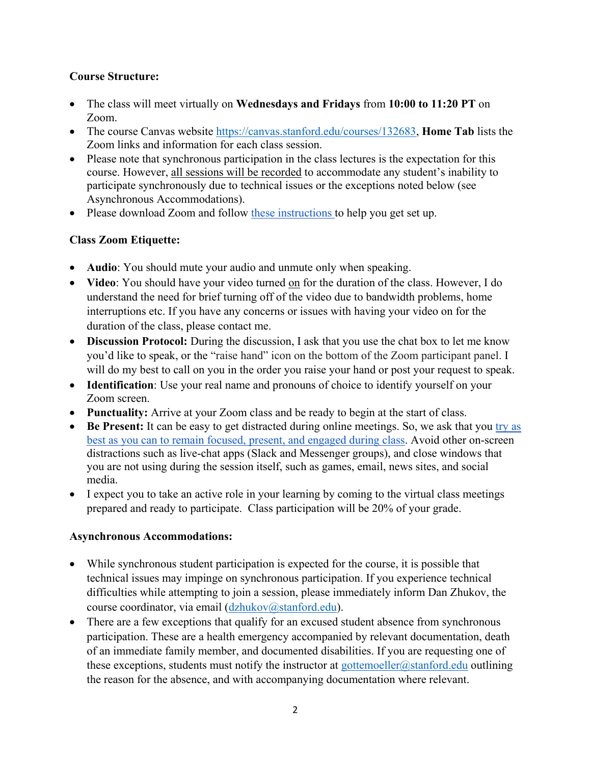## **Course Structure:**

- The class will meet virtually on **Wednesdays and Fridays** from **10:00 to 11:20 PT** on Zoom.
- The course Canvas website [https://canvas.stanford.edu/courses/132683,](https://canvas.stanford.edu/courses/132683) **Home Tab** lists the Zoom links and information for each class session.
- Please note that synchronous participation in the class lectures is the expectation for this course. However, all sessions will be recorded to accommodate any student's inability to participate synchronously due to technical issues or the exceptions noted below (see Asynchronous Accommodations).
- Please download Zoom and follow [these instructions t](https://healthalerts.stanford.edu/2020/03/08/how-to-attend-classes-online-using-zoom-in-canvas/)o help you get set up.

# **Class Zoom Etiquette:**

- **Audio**: You should mute your audio and unmute only when speaking.
- **Video**: You should have your video turned on for the duration of the class. However, I do understand the need for brief turning off of the video due to bandwidth problems, home interruptions etc. If you have any concerns or issues with having your video on for the duration of the class, please contact me.
- **Discussion Protocol:** During the discussion, I ask that you use the chat box to let me know you'd like to speak, or the "raise hand" icon on the bottom of the Zoom participant panel. I will do my best to call on you in the order you raise your hand or post your request to speak.
- **Identification**: Use your real name and pronouns of choice to identify yourself on your Zoom screen.
- **Punctuality:** Arrive at your Zoom class and be ready to begin at the start of class.
- **Be Present:** It can be easy to get distracted during online meetings. So, we ask that you try as [best as you can to remain focused, present, and engaged during class.](https://learningconnection.stanford.edu/remotelearning/apps) Avoid other on-screen distractions such as live-chat apps (Slack and Messenger groups), and close windows that you are not using during the session itself, such as games, email, news sites, and social media.
- I expect you to take an active role in your learning by coming to the virtual class meetings prepared and ready to participate. Class participation will be 20% of your grade.

# **Asynchronous Accommodations:**

- While synchronous student participation is expected for the course, it is possible that technical issues may impinge on synchronous participation. If you experience technical difficulties while attempting to join a session, please immediately inform Dan Zhukov, the course coordinator, via email [\(dzhukov@stanford.edu\)](mailto:dzhukov@stanford.edu).
- There are a few exceptions that qualify for an excused student absence from synchronous participation. These are a health emergency accompanied by relevant documentation, death of an immediate family member, and documented disabilities. If you are requesting one of these exceptions, students must notify the instructor at [gottemoeller@stanford.edu](mailto:gottemoeller@stanford.edu) outlining the reason for the absence, and with accompanying documentation where relevant.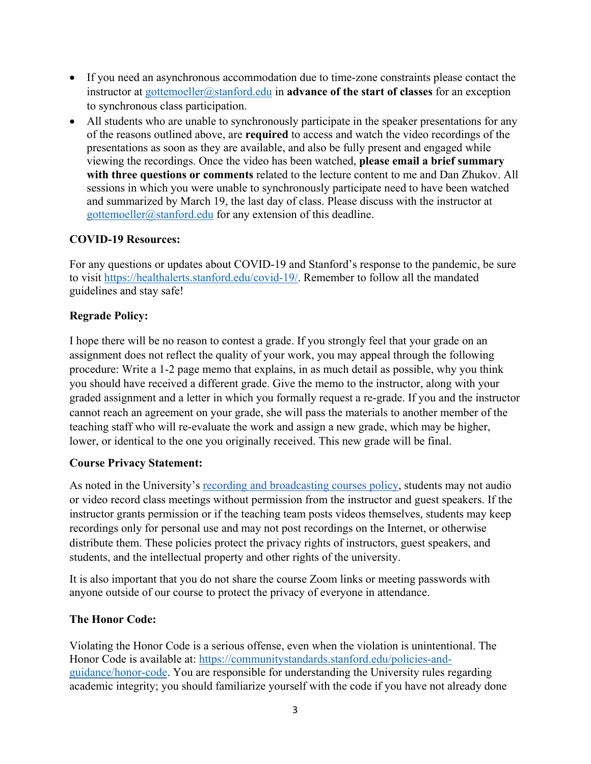- If you need an asynchronous accommodation due to time-zone constraints please contact the instructor at [gottemoeller@stanford.edu](mailto:gottemoeller@stanford.edu) in **advance of the start of classes** for an exception to synchronous class participation.
- All students who are unable to synchronously participate in the speaker presentations for any of the reasons outlined above, are **required** to access and watch the video recordings of the presentations as soon as they are available, and also be fully present and engaged while viewing the recordings. Once the video has been watched, **please email a brief summary with three questions or comments** related to the lecture content to me and Dan Zhukov. All sessions in which you were unable to synchronously participate need to have been watched and summarized by March 19, the last day of class. Please discuss with the instructor at [gottemoeller@stanford.edu](mailto:gottemoeller@stanford.edu) for any extension of this deadline.

### **COVID-19 Resources:**

For any questions or updates about COVID-19 and Stanford's response to the pandemic, be sure to visit [https://healthalerts.stanford.edu/covid-19/.](https://healthalerts.stanford.edu/covid-19/) Remember to follow all the mandated guidelines and stay safe!

### **Regrade Policy:**

I hope there will be no reason to contest a grade. If you strongly feel that your grade on an assignment does not reflect the quality of your work, you may appeal through the following procedure: Write a 1-2 page memo that explains, in as much detail as possible, why you think you should have received a different grade. Give the memo to the instructor, along with your graded assignment and a letter in which you formally request a re-grade. If you and the instructor cannot reach an agreement on your grade, she will pass the materials to another member of the teaching staff who will re-evaluate the work and assign a new grade, which may be higher, lower, or identical to the one you originally received. This new grade will be final.

#### **Course Privacy Statement:**

As noted in the University's [recording and broadcasting courses policy,](https://library.stanford.edu/using/copyright-reminder/common-situations/recording-broadcasting-courses) students may not audio or video record class meetings without permission from the instructor and guest speakers. If the instructor grants permission or if the teaching team posts videos themselves, students may keep recordings only for personal use and may not post recordings on the Internet, or otherwise distribute them. These policies protect the privacy rights of instructors, guest speakers, and students, and the intellectual property and other rights of the university.

It is also important that you do not share the course Zoom links or meeting passwords with anyone outside of our course to protect the privacy of everyone in attendance.

#### **The Honor Code:**

Violating the Honor Code is a serious offense, even when the violation is unintentional. The Honor Code is available at: [https://communitystandards.stanford.edu/policies-and](https://communitystandards.stanford.edu/policies-and-guidance/honor-code)[guidance/honor-code.](https://communitystandards.stanford.edu/policies-and-guidance/honor-code) You are responsible for understanding the University rules regarding academic integrity; you should familiarize yourself with the code if you have not already done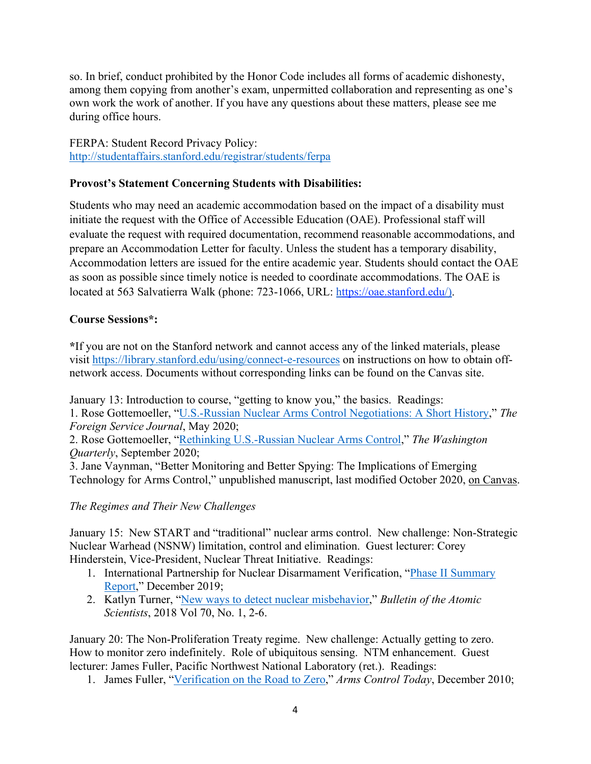so. In brief, conduct prohibited by the Honor Code includes all forms of academic dishonesty, among them copying from another's exam, unpermitted collaboration and representing as one's own work the work of another. If you have any questions about these matters, please see me during office hours.

FERPA: Student Record Privacy Policy: <http://studentaffairs.stanford.edu/registrar/students/ferpa>

### **Provost's Statement Concerning Students with Disabilities:**

Students who may need an academic accommodation based on the impact of a disability must initiate the request with the Office of Accessible Education (OAE). Professional staff will evaluate the request with required documentation, recommend reasonable accommodations, and prepare an Accommodation Letter for faculty. Unless the student has a temporary disability, Accommodation letters are issued for the entire academic year. Students should contact the OAE as soon as possible since timely notice is needed to coordinate accommodations. The OAE is located at 563 Salvatierra Walk (phone: 723-1066, URL: [https://oae.stanford.edu/\)](https://oae.stanford.edu/).

### **Course Sessions\*:**

**\***If you are not on the Stanford network and cannot access any of the linked materials, please visit<https://library.stanford.edu/using/connect-e-resources>on instructions on how to obtain offnetwork access. Documents without corresponding links can be found on the Canvas site.

January 13: Introduction to course, "getting to know you," the basics. Readings: 1. Rose Gottemoeller, ["U.S.-Russian Nuclear Arms Control Negotiations: A Short History,](http://www.afsa.org/us-russian-nuclear-arms-control-negotiations-short-history)" *The Foreign Service Journal*, May 2020;

2. Rose Gottemoeller, ["Rethinking U.S.-Russian Nuclear Arms Control,](https://www-tandfonline-com.stanford.idm.oclc.org/doi/full/10.1080/0163660X.2020.1813382)" *The Washington Quarterly*, September 2020;

3. Jane Vaynman, "Better Monitoring and Better Spying: The Implications of Emerging Technology for Arms Control," unpublished manuscript, last modified October 2020, on Canvas.

#### *The Regimes and Their New Challenges*

January 15: New START and "traditional" nuclear arms control. New challenge: Non-Strategic Nuclear Warhead (NSNW) limitation, control and elimination. Guest lecturer: Corey Hinderstein, Vice-President, Nuclear Threat Initiative. Readings:

- 1. International Partnership for Nuclear Disarmament Verification, ["Phase II Summary](https://media.nti.org/documents/IPNDV_Phase_II_Summary_Report_FINAL.pdf)  [Report,](https://media.nti.org/documents/IPNDV_Phase_II_Summary_Report_FINAL.pdf)" December 2019;
- 2. Katlyn Turner, ["New ways to detect nuclear misbehavior,](https://searchworks.stanford.edu/articles/edsbl__vdc.100078446930.0x000001)" *Bulletin of the Atomic Scientists*, 2018 Vol 70, No. 1, 2-6.

January 20: The Non-Proliferation Treaty regime. New challenge: Actually getting to zero. How to monitor zero indefinitely. Role of ubiquitous sensing. NTM enhancement. Guest lecturer: James Fuller, Pacific Northwest National Laboratory (ret.). Readings:

1. James Fuller, ["Verification on the Road to Zero,](https://www.armscontrol.org/act/2010-12/verification-road-zero-issues-nuclear-warhead-dismantlement)" *Arms Control Today*, December 2010;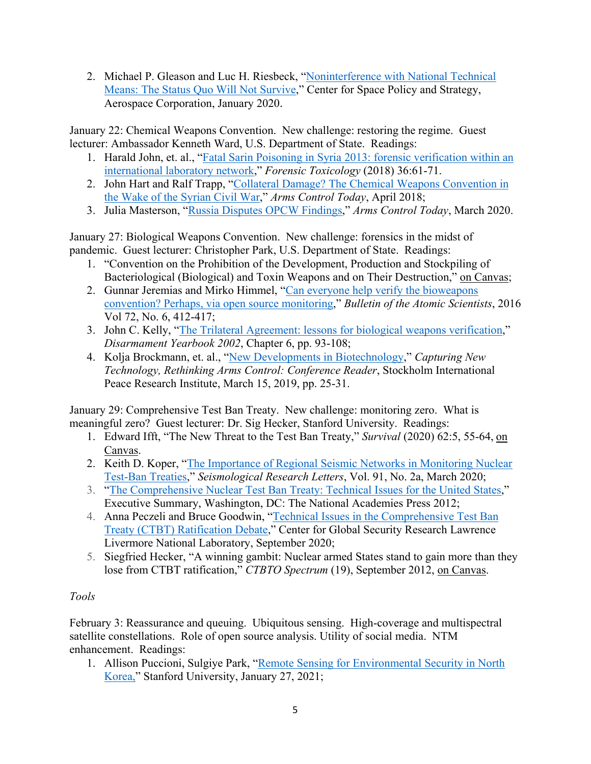2. Michael P. Gleason and Luc H. Riesbeck, "Noninterference with National Technical [Means: The Status Quo Will Not Survive,](https://aerospace.org/sites/default/files/2020-01/Gleason_NTM_20200114.pdf)" Center for Space Policy and Strategy, Aerospace Corporation, January 2020.

January 22: Chemical Weapons Convention. New challenge: restoring the regime. Guest lecturer: Ambassador Kenneth Ward, U.S. Department of State. Readings:

- 1. Harald John, et. al., ["Fatal Sarin Poisoning in Syria 2013: forensic verification within an](https://link-springer-com.stanford.idm.oclc.org/article/10.1007/s11419-017-0376-7)  [international laboratory network,](https://link-springer-com.stanford.idm.oclc.org/article/10.1007/s11419-017-0376-7)" *Forensic Toxicology* (2018) 36:61-71.
- 2. John Hart and Ralf Trapp, ["Collateral Damage? The Chemical Weapons Convention in](https://www.armscontrol.org/act/2018-04/features/collateral-damage-chemical-weapons-convention-wake-syrian-civil-war)  [the Wake of the Syrian Civil War,](https://www.armscontrol.org/act/2018-04/features/collateral-damage-chemical-weapons-convention-wake-syrian-civil-war)" *Arms Control Today*, April 2018;
- 3. Julia Masterson, ["Russia Disputes OPCW Findings,](https://www.armscontrol.org/act/2020-03/news/russia-disputes-opcw-findings)" *Arms Control Today*, March 2020.

January 27: Biological Weapons Convention. New challenge: forensics in the midst of pandemic. Guest lecturer: Christopher Park, U.S. Department of State. Readings:

- 1. "Convention on the Prohibition of the Development, Production and Stockpiling of Bacteriological (Biological) and Toxin Weapons and on Their Destruction," on Canvas;
- 2. Gunnar Jeremias and Mirko Himmel, "Can everyone help verify the bioweapons [convention? Perhaps, via open source monitoring,](https://searchworks.stanford.edu/articles/apn__ALTP956959)" *Bulletin of the Atomic Scientists*, 2016 Vol 72, No. 6, 412-417;
- 3. John C. Kelly, ["The Trilateral Agreement: lessons for biological weapons verification,](http://www.vertic.org/media/Archived_Publications/Yearbooks/2002/VY02_Kelly.pdf)" *Disarmament Yearbook 2002*, Chapter 6, pp. 93-108;
- 4. Kolja Brockmann, et. al., ["New Developments in Biotechnology,](https://rethinkingarmscontrol.de/wp-content/uploads/2020/09/2019-BM-Konferenz-Reader-Druckerei.pdf)" *Capturing New Technology, Rethinking Arms Control: Conference Reader*, Stockholm International Peace Research Institute, March 15, 2019, pp. 25-31.

January 29: Comprehensive Test Ban Treaty. New challenge: monitoring zero. What is meaningful zero? Guest lecturer: Dr. Sig Hecker, Stanford University. Readings:

- 1. Edward Ifft, "The New Threat to the Test Ban Treaty," *Survival* (2020) 62:5, 55-64, on Canvas.
- 2. Keith D. Koper, ["The Importance of Regional Seismic Networks in Monitoring Nuclear](https://doi-org.stanford.idm.oclc.org/10.1785/0220190160)  [Test-Ban Treaties,](https://doi-org.stanford.idm.oclc.org/10.1785/0220190160)" *Seismological Research Letters*, Vol. 91, No. 2a, March 2020;
- 3. ["The Comprehensive Nuclear Test Ban Treaty: Technical Issues for the United States,](https://www.nap.edu/read/12849/chapter/2)" Executive Summary, Washington, DC: The National Academies Press 2012;
- 4. Anna Peczeli and Bruce Goodwin, ["Technical Issues in the Comprehensive Test Ban](https://cgsr.llnl.gov/content/assets/docs/CGSRctbtONLINE.pdf)  [Treaty \(CTBT\) Ratification Debate,](https://cgsr.llnl.gov/content/assets/docs/CGSRctbtONLINE.pdf)" Center for Global Security Research Lawrence Livermore National Laboratory, September 2020;
- 5. Siegfried Hecker, "A winning gambit: Nuclear armed States stand to gain more than they lose from CTBT ratification," *CTBTO Spectrum* (19), September 2012, on Canvas.

# *Tools*

February 3: Reassurance and queuing. Ubiquitous sensing. High-coverage and multispectral satellite constellations. Role of open source analysis. Utility of social media. NTM enhancement. Readings:

1. Allison Puccioni, Sulgiye Park, ["Remote Sensing for Environmental Security in North](https://www.youtube.com/watch?v=JqN4Ga4DVss&feature=youtu.be)  [Korea,"](https://www.youtube.com/watch?v=JqN4Ga4DVss&feature=youtu.be) Stanford University, January 27, 2021;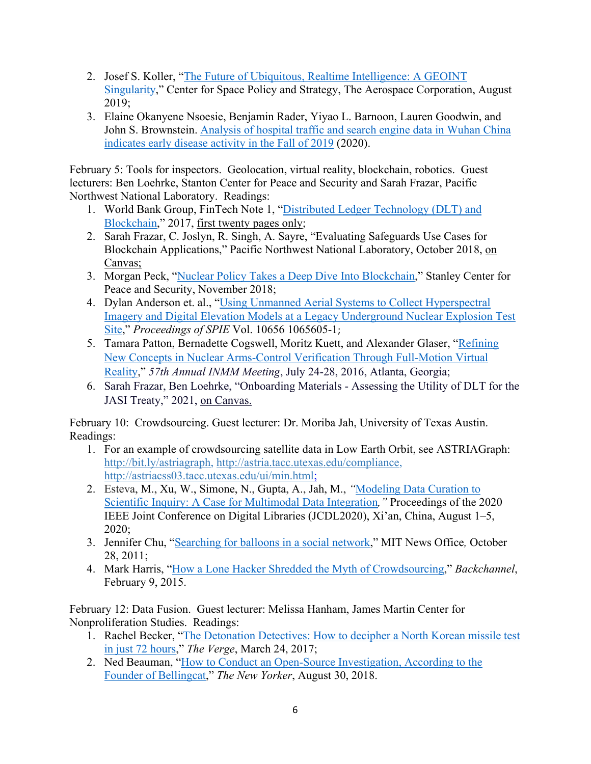- 2. Josef S. Koller, ["The Future of Ubiquitous, Realtime Intelligence: A GEOINT](https://aerospace.org/sites/default/files/2019-09/Koller_FutureUbiquitous_08082019_2_0.pdf)  [Singularity,](https://aerospace.org/sites/default/files/2019-09/Koller_FutureUbiquitous_08082019_2_0.pdf)" Center for Space Policy and Strategy, The Aerospace Corporation, August 2019;
- 3. Elaine Okanyene Nsoesie, Benjamin Rader, Yiyao L. Barnoon, Lauren Goodwin, and John S. Brownstein. [Analysis of hospital traffic and search engine data in Wuhan China](https://dash.harvard.edu/bitstream/handle/1/42669767/Satellite_Images_Baidu_COVID19_manuscript_DASH.pdf?sequence=3&isAllowed=y)  [indicates early disease activity in the Fall of 2019](https://dash.harvard.edu/bitstream/handle/1/42669767/Satellite_Images_Baidu_COVID19_manuscript_DASH.pdf?sequence=3&isAllowed=y) (2020).

February 5: Tools for inspectors. Geolocation, virtual reality, blockchain, robotics. Guest lecturers: Ben Loehrke, Stanton Center for Peace and Security and Sarah Frazar, Pacific Northwest National Laboratory. Readings:

- 1. World Bank Group, FinTech Note 1, ["Distributed Ledger Technology \(DLT\) and](http://documents1.worldbank.org/curated/en/177911513714062215/pdf/122140-WP-PUBLIC-Distributed-Ledger-Technology-and-Blockchain-Fintech-Notes.pdf)  [Blockchain,](http://documents1.worldbank.org/curated/en/177911513714062215/pdf/122140-WP-PUBLIC-Distributed-Ledger-Technology-and-Blockchain-Fintech-Notes.pdf)" 2017, first twenty pages only;
- 2. Sarah Frazar, C. Joslyn, R. Singh, A. Sayre, "Evaluating Safeguards Use Cases for Blockchain Applications," Pacific Northwest National Laboratory, October 2018, on Canvas;
- 3. Morgan Peck, ["Nuclear Policy Takes a Deep Dive Into Blockchain,](https://stanleycenter.org/publications/nuclear-policy-takes-a-deep-dive-into-blockchain-3/)" Stanley Center for Peace and Security, November 2018;
- 4. Dylan Anderson et. al., ["Using Unmanned Aerial Systems to Collect Hyperspectral](https://www-spiedigitallibrary-org.stanford.idm.oclc.org/conference-proceedings-of-spie/10656/1065605/Using-unmanned-aerial-systems-to-collect-hyperspectral-imagery-and-digital/10.1117/12.2304860.full)  [Imagery and Digital Elevation Models at a Legacy Underground Nuclear Explosion Test](https://www-spiedigitallibrary-org.stanford.idm.oclc.org/conference-proceedings-of-spie/10656/1065605/Using-unmanned-aerial-systems-to-collect-hyperspectral-imagery-and-digital/10.1117/12.2304860.full)  [Site,](https://www-spiedigitallibrary-org.stanford.idm.oclc.org/conference-proceedings-of-spie/10656/1065605/Using-unmanned-aerial-systems-to-collect-hyperspectral-imagery-and-digital/10.1117/12.2304860.full)" *Proceedings of SPIE* Vol. 10656 1065605-1;
- 5. Tamara Patton, Bernadette Cogswell, Moritz Kuett, and Alexander Glaser, ["Refining](http://www.princeton.edu/%7Eaglaser/PU113-Patton-Cogswell-Kuett-Glaser.pdf)  [New Concepts in Nuclear Arms-Control Verification Through Full-Motion Virtual](http://www.princeton.edu/%7Eaglaser/PU113-Patton-Cogswell-Kuett-Glaser.pdf)  [Reality,](http://www.princeton.edu/%7Eaglaser/PU113-Patton-Cogswell-Kuett-Glaser.pdf)" *57th Annual INMM Meeting*, July 24-28, 2016, Atlanta, Georgia;
- 6. Sarah Frazar, Ben Loehrke, "Onboarding Materials Assessing the Utility of DLT for the JASI Treaty," 2021, on Canvas.

February 10: Crowdsourcing. Guest lecturer: Dr. Moriba Jah, University of Texas Austin. Readings:

- 1. For an example of crowdsourcing satellite data in Low Earth Orbit, see ASTRIAGraph: [http://bit.ly/astriagraph,](http://bit.ly/astriagraph) [http://astria.tacc.utexas.edu/compliance,](http://astria.tacc.utexas.edu/compliance) [http://astriacss03.tacc.utexas.edu/ui/min.html;](http://astriacss03.tacc.utexas.edu/ui/min.html)
- 2. Esteva, M., Xu, W., Simone, N., Gupta, A., Jah, M., *"*[Modeling Data](https://dl-acm-org.stanford.idm.oclc.org/doi/pdf/10.1145/3383583.3398539) Curation to [Scientific Inquiry: A Case](https://dl-acm-org.stanford.idm.oclc.org/doi/pdf/10.1145/3383583.3398539) for Multimodal Data Integration*,"* Proceedings of the 2020 IEEE Joint Conference on Digital Libraries (JCDL2020), Xi'an, China, August 1–5, 2020;
- 3. Jennifer Chu, ["Searching for balloons in a social network,](https://news.mit.edu/2011/red-balloons-study-102811#:%7E:text=The%20Red%20Balloon%20Challenge%2C%20sponsored,do%20so%20would%20win%20%2440%2C000)" MIT News Office*,* October 28, 2011;
- 4. Mark Harris, ["How a Lone Hacker Shredded the Myth of Crowdsourcing,](https://medium.com/backchannel/how-a-lone-hacker-shredded-the-myth-of-crowdsourcing-d9d0534f1731)" *Backchannel*, February 9, 2015.

February 12: Data Fusion. Guest lecturer: Melissa Hanham, James Martin Center for Nonproliferation Studies. Readings:

- 1. Rachel Becker, "The Detonation Detectives: How to decipher a North Korean missile test [in just 72 hours,](https://www.theverge.com/2017/3/24/15041826/cns-north-korea-nuclear-missile-test-tracking-icbm-analysis)" *The Verge*, March 24, 2017;
- 2. Ned Beauman, ["How to Conduct an Open-Source Investigation, According to the](https://www.newyorker.com/culture/culture-desk/how-to-conduct-an-open-source-investigation-according-to-the-founder-of-bellingcat)  [Founder of Bellingcat,](https://www.newyorker.com/culture/culture-desk/how-to-conduct-an-open-source-investigation-according-to-the-founder-of-bellingcat)" *The New Yorker*, August 30, 2018.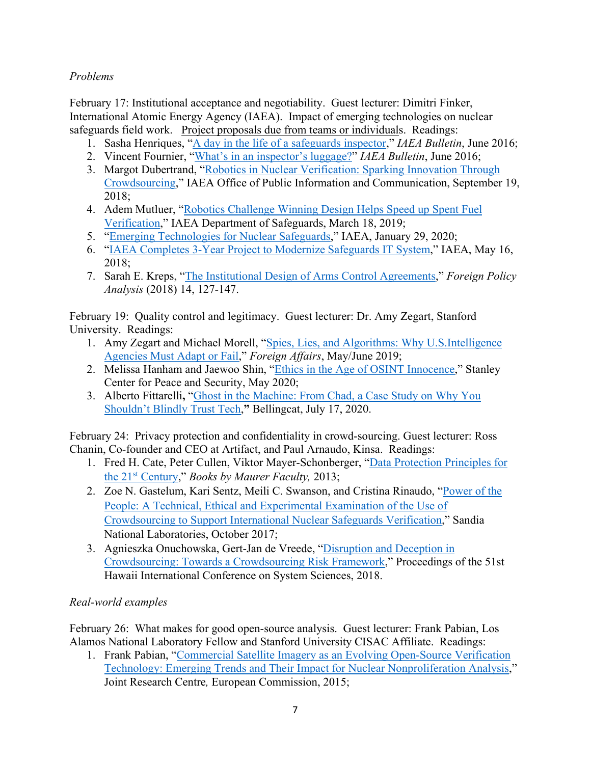## *Problems*

February 17: Institutional acceptance and negotiability. Guest lecturer: Dimitri Finker, International Atomic Energy Agency (IAEA). Impact of emerging technologies on nuclear safeguards field work. Project proposals due from teams or individuals. Readings:

- 1. Sasha Henriques, ["A day in the life of a safeguards inspector,](https://www.iaea.org/sites/default/files/5720811_spread_corr_0.pdf)" *IAEA Bulletin*, June 2016;
- 2. Vincent Fournier, ["What's in an inspector's luggage?"](https://www.iaea.org/sites/default/files/5721215.pdf) *IAEA Bulletin*, June 2016;
- 3. Margot Dubertrand, ["Robotics in Nuclear Verification: Sparking Innovation Through](https://www.iaea.org/newscenter/news/robotics-in-nuclear-verification-sparking-innovation-through-crowdsourcing)  [Crowdsourcing,](https://www.iaea.org/newscenter/news/robotics-in-nuclear-verification-sparking-innovation-through-crowdsourcing)" IAEA Office of Public Information and Communication, September 19, 2018;
- 4. Adem Mutluer, ["Robotics Challenge Winning Design Helps Speed up Spent Fuel](https://www.iaea.org/newscenter/news/robotics-challenge-winning-design-helps-speed-up-spent-fuel-verification)  [Verification,](https://www.iaea.org/newscenter/news/robotics-challenge-winning-design-helps-speed-up-spent-fuel-verification)" IAEA Department of Safeguards, March 18, 2019;
- 5. ["Emerging Technologies for Nuclear Safeguards,](https://www.iaea.org/newscenter/multimedia/videos/emerging-technologies-for-nuclear-safeguards)" IAEA, January 29, 2020;
- 6. ["IAEA Completes 3-Year Project to Modernize Safeguards IT System,](https://www.iaea.org/newscenter/pressreleases/iaea-completes-3-year-project-to-modernize-safeguards-it-system)" IAEA, May 16, 2018;
- 7. Sarah E. Kreps, ["The Institutional Design of Arms Control Agreements,](https://academic-oup-com.stanford.idm.oclc.org/fpa/article/14/1/127/2625555)" *Foreign Policy Analysis* (2018) 14, 127-147.

February 19: Quality control and legitimacy. Guest lecturer: Dr. Amy Zegart, Stanford University. Readings:

- 1. Amy Zegart and Michael Morell, ["Spies, Lies, and Algorithms: Why U.S.Intelligence](https://www-foreignaffairs-com.stanford.idm.oclc.org/print/node/1124170)  [Agencies Must Adapt or Fail,](https://www-foreignaffairs-com.stanford.idm.oclc.org/print/node/1124170)" *Foreign Affairs*, May/June 2019;
- 2. Melissa Hanham and Jaewoo Shin, ["Ethics in the Age of OSINT Innocence,](https://stanleycenter.org/publications/ethics-osint-innocence)" Stanley Center for Peace and Security, May 2020;
- 3. Alberto Fittarelli**,** ["Ghost in the Machine: From Chad, a Case Study on Why You](https://www.bellingcat.com/resources/2020/07/17/ghost-in-the-machine-from-chad-a-case-study-on-why-you-shouldnt-blindly-trust-tech/)  [Shouldn't Blindly Trust Tech,](https://www.bellingcat.com/resources/2020/07/17/ghost-in-the-machine-from-chad-a-case-study-on-why-you-shouldnt-blindly-trust-tech/)**"** Bellingcat, July 17, 2020.

February 24: Privacy protection and confidentiality in crowd-sourcing. Guest lecturer: Ross Chanin, Co-founder and CEO at Artifact, and Paul Arnaudo, Kinsa. Readings:

- 1. Fred H. Cate, Peter Cullen, Viktor Mayer-Schonberger, ["Data Protection Principles for](https://www.repository.law.indiana.edu/cgi/viewcontent.cgi?article=1022&context=facbooks)  [the 21st Century,](https://www.repository.law.indiana.edu/cgi/viewcontent.cgi?article=1022&context=facbooks)" *Books by Maurer Faculty,* 2013;
- 2. Zoe N. Gastelum, Kari Sentz, Meili C. Swanson, and Cristina Rinaudo, ["Power of the](https://fas.org/irp/eprint/crowdsource.pdf)  [People: A Technical, Ethical and Experimental Examination of the Use of](https://fas.org/irp/eprint/crowdsource.pdf)  [Crowdsourcing to Support International Nuclear Safeguards Verification,](https://fas.org/irp/eprint/crowdsource.pdf)" Sandia National Laboratories, October 2017;
- 3. Agnieszka Onuchowska, Gert-Jan de Vreede, ["Disruption and Deception in](https://core.ac.uk/download/pdf/301374627.pdf)  [Crowdsourcing: Towards a Crowdsourcing Risk Framework,](https://core.ac.uk/download/pdf/301374627.pdf)" Proceedings of the 51st Hawaii International Conference on System Sciences, 2018.

# *Real-world examples*

February 26: What makes for good open-source analysis. Guest lecturer: Frank Pabian, Los Alamos National Laboratory Fellow and Stanford University CISAC Affiliate. Readings:

1. Frank Pabian, ["Commercial Satellite Imagery as an Evolving Open-Source Verification](https://publications.jrc.ec.europa.eu/repository/bitstream/JRC97258/reqno_jrc97258_online%20version%20pdf.pdf)  [Technology: Emerging Trends and Their Impact for Nuclear Nonproliferation Analysis,](https://publications.jrc.ec.europa.eu/repository/bitstream/JRC97258/reqno_jrc97258_online%20version%20pdf.pdf)" Joint Research Centre*,* European Commission, 2015;